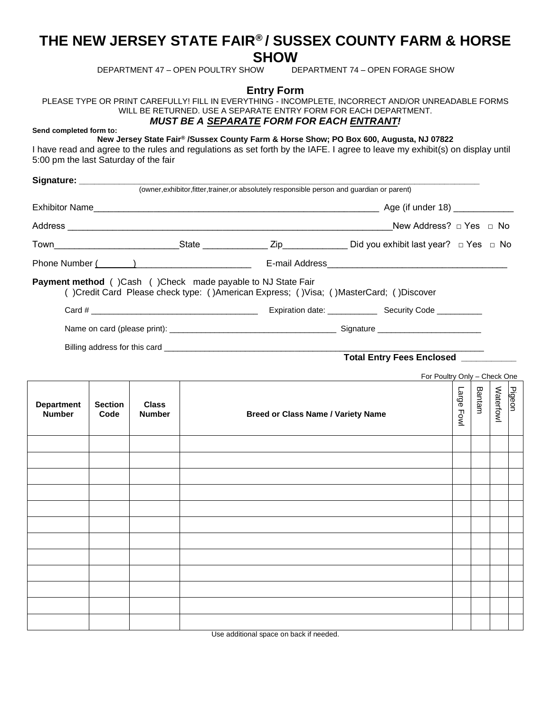## **THE NEW JERSEY STATE FAIR® / SUSSEX COUNTY FARM & HORSE SHOW**<br>DEPARTMENT 47 - OPEN POULTRY SHOW

DEPARTMENT 74 – OPEN FORAGE SHOW

**Entry Form**

PLEASE TYPE OR PRINT CAREFULLY! FILL IN EVERYTHING - INCOMPLETE, INCORRECT AND/OR UNREADABLE FORMS WILL BE RETURNED. USE A SEPARATE ENTRY FORM FOR EACH DEPARTMENT.

## *MUST BE A SEPARATE FORM FOR EACH ENTRANT!*

**Send completed form to:**

**New Jersey State Fair® /Sussex County Farm & Horse Show; PO Box 600, Augusta, NJ 07822**

I have read and agree to the rules and regulations as set forth by the IAFE. I agree to leave my exhibit(s) on display until 5:00 pm the last Saturday of the fair

|                                                                    |  | (owner, exhibitor, fitter, trainer, or absolutely responsible person and guardian or parent) |                                                                                                            |
|--------------------------------------------------------------------|--|----------------------------------------------------------------------------------------------|------------------------------------------------------------------------------------------------------------|
|                                                                    |  |                                                                                              |                                                                                                            |
|                                                                    |  |                                                                                              | New Address? $\Box$ Yes $\Box$ No                                                                          |
|                                                                    |  |                                                                                              | Town___________________________State _______________Zip______________Did you exhibit last year? □ Yes □ No |
|                                                                    |  |                                                                                              |                                                                                                            |
| <b>Payment method</b> ()Cash ()Check made payable to NJ State Fair |  |                                                                                              | ()Credit Card Please check type: ()American Express; ()Visa; ()MasterCard; ()Discover                      |
|                                                                    |  |                                                                                              |                                                                                                            |
|                                                                    |  |                                                                                              |                                                                                                            |
|                                                                    |  |                                                                                              |                                                                                                            |

## **Total Entry Fees Enclosed \_\_\_\_\_\_\_\_\_\_\_**

For Poultry Only – Check One

| <b>Department</b><br><b>Number</b> | <b>Section</b><br>Code | <b>Class</b><br><b>Number</b> | <b>Breed or Class Name / Variety Name</b> | Large Fowl | Bantam | Waterfowl | Pigeon |
|------------------------------------|------------------------|-------------------------------|-------------------------------------------|------------|--------|-----------|--------|
|                                    |                        |                               |                                           |            |        |           |        |
|                                    |                        |                               |                                           |            |        |           |        |
|                                    |                        |                               |                                           |            |        |           |        |
|                                    |                        |                               |                                           |            |        |           |        |
|                                    |                        |                               |                                           |            |        |           |        |
|                                    |                        |                               |                                           |            |        |           |        |
|                                    |                        |                               |                                           |            |        |           |        |
|                                    |                        |                               |                                           |            |        |           |        |
|                                    |                        |                               |                                           |            |        |           |        |
|                                    |                        |                               |                                           |            |        |           |        |
|                                    |                        |                               |                                           |            |        |           |        |
|                                    |                        |                               |                                           |            |        |           |        |

Use additional space on back if needed.